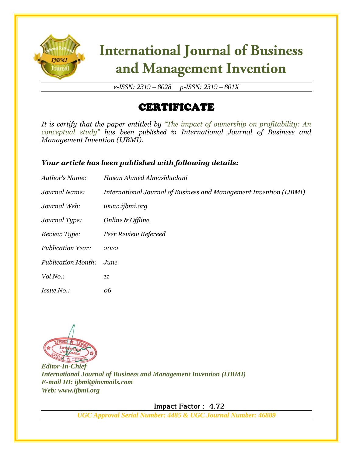

# **International Journal of Business** and Management Invention

*e-ISSN: 2319 – 8028 p-ISSN: 2319 – 801X*

## CERTIFICATE

*It is certify that the paper entitled by "The impact of ownership on profitability: An conceptual study" has been published in International Journal of Business and Management Invention (IJBMI).*

### *Your article has been published with following details:*

| Author's Name:            | Hasan Ahmed Almashhadani                                           |
|---------------------------|--------------------------------------------------------------------|
| Journal Name:             | International Journal of Business and Management Invention (IJBMI) |
| Journal Web:              | www.ijbmi.org                                                      |
| Journal Type:             | Online & Offline                                                   |
| Review Type:              | Peer Review Refereed                                               |
| <b>Publication Year:</b>  | 2022                                                               |
| <b>Publication Month:</b> | June                                                               |
| Vol No.:                  | 11                                                                 |
| <i>Issue No.:</i>         | 06                                                                 |



*Editor-In-Chief International Journal of Business and Management Invention (IJBMI) E-mail ID: ijbmi@invmails.com Web: www.ijbmi.org*

 **Impact Factor : 4.72** 

*UGC Approval Serial Number: 4485 & UGC Journal Number: 46889*